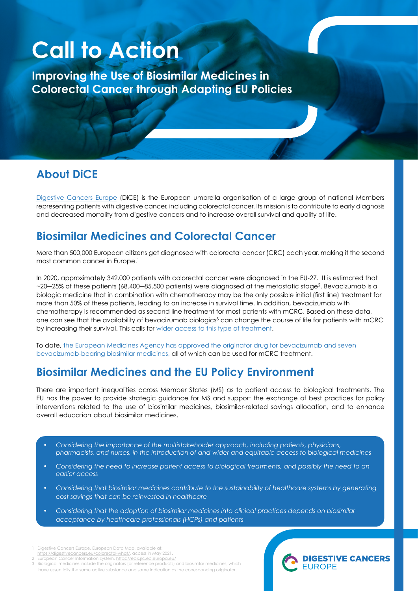# **Call to Action**

**Improving the Use of Biosimilar Medicines in Colorectal Cancer through Adapting EU Policies**

## **About DiCE**

[Digestive Cancers Europe](https://digestivecancers.eu/) (DiCE) is the European umbrella organisation of a large group of national Members representing patients with digestive cancer, including colorectal cancer. Its mission is to contribute to early diagnosis and decreased mortality from digestive cancers and to increase overall survival and quality of life.

#### **Biosimilar Medicines and Colorectal Cancer**

More than 500,000 European citizens get diagnosed with colorectal cancer (CRC) each year, making it the second most common cancer in Europe.<sup>1</sup>

In 2020, approximately 342.000 patients with colorectal cancer were diagnosed in the EU-27. It is estimated that  $\sim$ 20—25% of these patients (68.400—85.500 patients) were diagnosed at the metastatic stage<sup>2</sup>. Bevacizumab is a biologic medicine that in combination with chemotherapy may be the only possible initial (first line) treatment for more than 50% of these patients, leading to an increase in survival time. In addition, bevacizumab with chemotherapy is recommended as second line treatment for most patients with mCRC. Based on these data, one can see that the availability of bevacizumab biologics<sup>3</sup> can change the course of life for patients with mCRC by increasing their survival. This calls for wider access to this type of treatment.

To date, the European Medicines Agency has approved the originator drug for bevacizumab and seven bevacizumab-bearing biosimilar medicines, all of which can be used for mCRC treatment.

# **Biosimilar Medicines and the EU Policy Environment**

There are important inequalities across Member States (MS) as to patient access to biological treatments. The EU has the power to provide strategic guidance for MS and support the exchange of best practices for policy interventions related to the use of biosimilar medicines, biosimilar-related savings allocation, and to enhance overall education about biosimilar medicines.

- *Considering the importance of the multistakeholder approach, including patients, physicians, pharmacists, and nurses, in the introduction of and wider and equitable access to biological medicines*
- *Considering the need to increase patient access to biological treatments, and possibly the need to an earlier access*
- *Considering that biosimilar medicines contribute to the sustainability of healthcare systems by generating cost savings that can be reinvested in healthcare*
- *Considering that the adoption of biosimilar medicines into clinical practices depends on biosimilar acceptance by healthcare professionals (HCPs) and patients*
- Digestive Cancers Europe, European Data Map, available at:<br>https://digestivecancers.eu/colorectal-what/, access in May 2021.<br>European Cancer Information System, https://ecis.jrc.ec.europa.eu/
- 

Biological medicines include the originators (or reference products) and biosimilar medicines, which have essentially the same active substance and same indication as the corresponding originator.

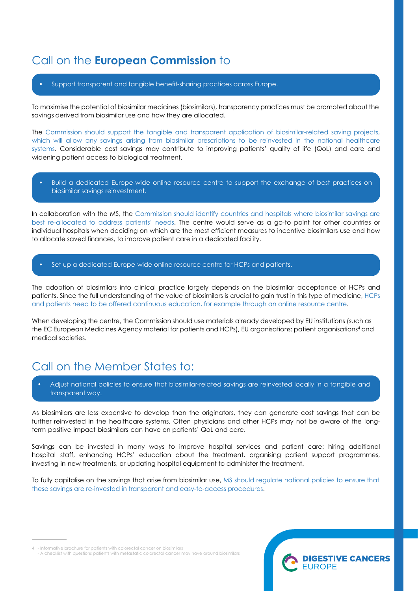### Call on the **European Commission** to

• Support transparent and tangible benefit-sharing practices across Europe.

To maximise the potential of biosimilar medicines (biosimilars), transparency practices must be promoted about the savings derived from biosimilar use and how they are allocated.

The Commission should support the tangible and transparent application of biosimilar-related saving projects, which will allow any savings arising from biosimilar prescriptions to be reinvested in the national healthcare systems. Considerable cost savings may contribute to improving patients' quality of life (QoL) and care and widening patient access to biological treatment.

• Build a dedicated Europe-wide online resource centre to support the exchange of best practices on biosimilar savings reinvestment.

In collaboration with the MS, the Commission should identify countries and hospitals where biosimilar savings are best re-allocated to address patients' needs. The centre would serve as a go-to point for other countries or individual hospitals when deciding on which are the most efficient measures to incentive biosimilars use and how to allocate saved finances, to improve patient care in a dedicated facility.

Set up a dedicated Europe-wide online resource centre for HCPs and patients.

The adoption of biosimilars into clinical practice largely depends on the biosimilar acceptance of HCPs and patients. Since the full understanding of the value of biosimilars is crucial to gain trust in this type of medicine, HCPs and patients need to be offered continuous education, for example through an online resource centre.

When developing the centre, the Commission should use materials already developed by EU institutions (such as the EC European Medicines Agency material for patients and HCPs), EU organisations: patient organisations<sup>4</sup> and medical societies.

# Call on the Member States to:

• Adjust national policies to ensure that biosimilar-related savings are reinvested locally in a tangible and transparent way.

As biosimilars are less expensive to develop than the originators, they can generate cost savings that can be further reinvested in the healthcare systems. Often physicians and other HCPs may not be aware of the longterm positive impact biosimilars can have on patients' QoL and care.

Savings can be invested in many ways to improve hospital services and patient care: hiring additional hospital staff, enhancing HCPs' education about the treatment, organising patient support programmes, investing in new treatments, or updating hospital equipment to administer the treatment.

To fully capitalise on the savings that arise from biosimilar use, MS should regulate national policies to ensure that these savings are re-invested in transparent and easy-to-access procedures.

4 - Informative brochure for patients with colorectal cancer on biosimilars

 <sup>-</sup> A checklist with questions patients with metastatic colorectal cancer may have around biosimilars